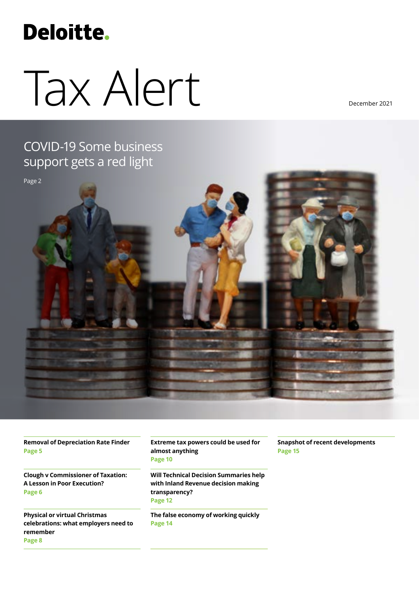## **Deloitte.**

# Tax Alert

December 2021

### COVID-19 Some business support gets a red ligh[t](#page-1-0)



**[Removal of Depreciation Rate Finder](#page-4-0) [Page 5](#page-4-0)**

**[Clough v Commissioner of Taxation:](#page-5-0)  [A Lesson in Poor Execution?](#page-5-0) [Page](#page-5-0) 6**

**[Physical or virtual Christmas](#page-7-0)  [celebrations: what employers need to](#page-7-0)  [remember](#page-7-0) [Page](#page-7-0) 8**

**[Extreme tax powers could be used for](#page-9-0)  [almost anything](#page-9-0) [Page 1](#page-9-0)0**

**[Will Technical Decision Summaries help](#page-11-0)  [with Inland Revenue decision making](#page-11-0)  [transparency?](#page-11-0) [Page 1](#page-11-0)2**

**[The false economy of working quickly](#page-13-0)  [Page 1](#page-13-0)4**

**[Snapshot of recent developments](#page-14-0) Page 15**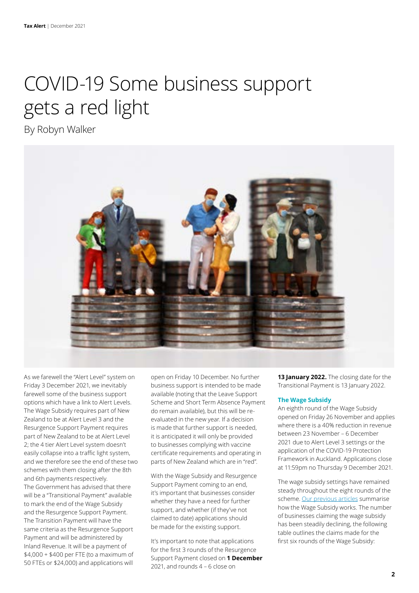### <span id="page-1-0"></span>COVID-19 Some business support gets a red light

By Robyn Walker



As we farewell the "Alert Level" system on Friday 3 December 2021, we inevitably farewell some of the business support options which have a link to Alert Levels. The Wage Subsidy requires part of New Zealand to be at Alert Level 3 and the Resurgence Support Payment requires part of New Zealand to be at Alert Level 2; the 4 tier Alert Level system doesn't easily collapse into a traffic light system, and we therefore see the end of these two schemes with them closing after the 8th and 6th payments respectively. The Government has advised that there will be a "Transitional Payment" available to mark the end of the Wage Subsidy and the Resurgence Support Payment. The Transition Payment will have the same criteria as the Resurgence Support Payment and will be administered by Inland Revenue. It will be a payment of \$4,000 + \$400 per FTE (to a maximum of 50 FTEs or \$24,000) and applications will

open on Friday 10 December. No further business support is intended to be made available (noting that the Leave Support Scheme and Short Term Absence Payment do remain available), but this will be reevaluated in the new year. If a decision is made that further support is needed, it is anticipated it will only be provided to businesses complying with vaccine certificate requirements and operating in parts of New Zealand which are in "red".

With the Wage Subsidy and Resurgence Support Payment coming to an end, it's important that businesses consider whether they have a need for further support, and whether (if they've not claimed to date) applications should be made for the existing support.

It's important to note that applications for the first 3 rounds of the Resurgence Support Payment closed on **1 December**  2021, and rounds 4 – 6 close on

**13 January 2022.** The closing date for the Transitional Payment is 13 January 2022.

#### **The Wage Subsidy**

An eighth round of the Wage Subsidy opened on Friday 26 November and applies where there is a 40% reduction in revenue between 23 November – 6 December 2021 due to Alert Level 3 settings or the application of the COVID-19 Protection Framework in Auckland. Applications close at 11:59pm no Thursday 9 December 2021.

The wage subsidy settings have remained steady throughout the eight rounds of the scheme. [Our previous articles](https://www2.deloitte.com/nz/en/pages/tax/articles/considerations-in-relation-to-the-wage-subsidy.html) summarise how the Wage Subsidy works. The number of businesses claiming the wage subsidy has been steadily declining, the following table outlines the claims made for the first six rounds of the Wage Subsidy: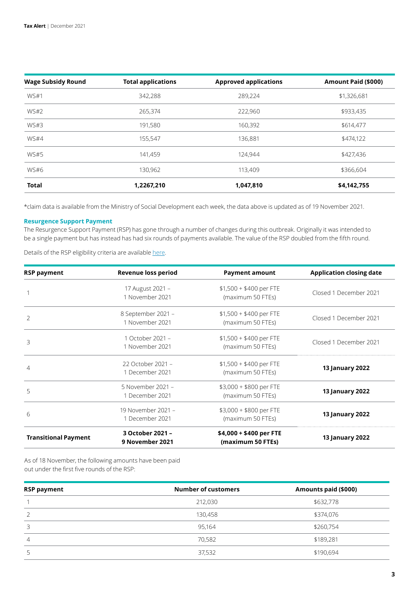| <b>Wage Subsidy Round</b> | <b>Total applications</b> | <b>Approved applications</b> | Amount Paid (\$000) |
|---------------------------|---------------------------|------------------------------|---------------------|
| WS#1                      | 342,288                   | 289,224                      | \$1,326,681         |
| <b>WS#2</b>               | 265,374                   | 222,960                      | \$933,435           |
| WS#3                      | 191,580                   | 160,392                      | \$614,477           |
| <b>WS#4</b>               | 155,547                   | 136,881                      | \$474,122           |
| <b>WS#5</b>               | 141,459                   | 124,944                      | \$427,436           |
| WS#6                      | 130,962                   | 113,409                      | \$366,604           |
| <b>Total</b>              | 1,2267,210                | 1,047,810                    | \$4,142,755         |

\*claim data is available from the Ministry of Social Development each week, the data above is updated as of 19 November 2021.

#### **Resurgence Support Payment**

The Resurgence Support Payment (RSP) has gone through a number of changes during this outbreak. Originally it was intended to be a single payment but has instead has had six rounds of payments available. The value of the RSP doubled from the fifth round.

Details of the RSP eligibility criteria are available [here](https://www2.deloitte.com/nz/en/pages/tax/articles/covid-19-what-government-support-is-available-for-businesses.html).

| <b>RSP payment</b>          | <b>Revenue loss period</b>            | <b>Payment amount</b>                        | <b>Application closing date</b> |
|-----------------------------|---------------------------------------|----------------------------------------------|---------------------------------|
|                             | 17 August 2021 -<br>1 November 2021   | $$1,500 + $400$ per FTE<br>(maximum 50 FTEs) | Closed 1 December 2021          |
| $\overline{2}$              | 8 September 2021 -<br>1 November 2021 | $$1,500 + $400$ per FTE<br>(maximum 50 FTEs) | Closed 1 December 2021          |
| 3                           | 1 October 2021 -<br>1 November 2021   | $$1,500 + $400$ per FTE<br>(maximum 50 FTEs) | Closed 1 December 2021          |
| 4                           | 22 October 2021 -<br>1 December 2021  | $$1,500 + $400$ per FTE<br>(maximum 50 FTEs) | <b>13 January 2022</b>          |
| 5                           | 5 November 2021 -<br>1 December 2021  | \$3,000 + \$800 per FTE<br>(maximum 50 FTEs) | <b>13 January 2022</b>          |
| 6                           | 19 November 2021 -<br>1 December 2021 | \$3,000 + \$800 per FTE<br>(maximum 50 FTEs) | <b>13 January 2022</b>          |
| <b>Transitional Payment</b> | 3 October 2021 -<br>9 November 2021   | \$4,000 + \$400 per FTE<br>(maximum 50 FTEs) | <b>13 January 2022</b>          |

As of 18 November, the following amounts have been paid out under the first five rounds of the RSP:

| <b>RSP payment</b> | <b>Number of customers</b> | Amounts paid (\$000) |
|--------------------|----------------------------|----------------------|
|                    | 212,030                    | \$632,778            |
|                    | 130,458                    | \$374,076            |
|                    | 95,164                     | \$260,754            |
| $\overline{4}$     | 70,582                     | \$189,281            |
|                    | 37,532                     | \$190,694            |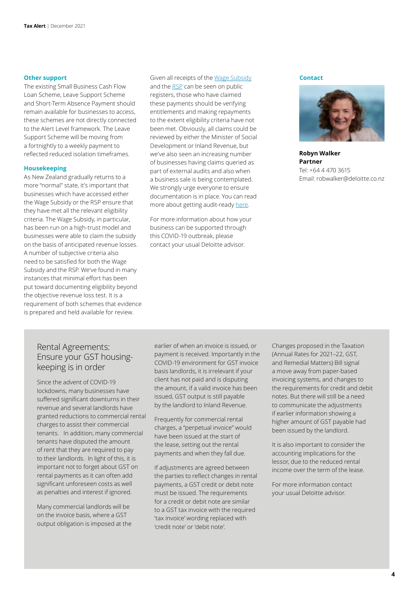The existing Small Business Cash Flow Loan Scheme, Leave Support Scheme and Short-Term Absence Payment should remain available for businesses to access, these schemes are not directly connected to the Alert Level framework. The Leave Support Scheme will be moving from a fortnightly to a weekly payment to reflected reduced isolation timeframes.

#### **Housekeeping**

As New Zealand gradually returns to a more "normal" state, it's important that businesses which have accessed either the Wage Subsidy or the RSP ensure that they have met all the relevant eligibility criteria. The Wage Subsidy, in particular, has been run on a high-trust model and businesses were able to claim the subsidy on the basis of anticipated revenue losses. A number of subjective criteria also need to be satisfied for both the Wage Subsidy and the RSP. We've found in many instances that minimal effort has been put toward documenting eligibility beyond the objective revenue loss test. It is a requirement of both schemes that evidence is prepared and held available for review.

**Other support Contact Contact Contact** Given all receipts of the <u>[Wage Subsidy](https://services.workandincome.govt.nz/eps/search)</u> **Contact** and the [RSP](https://myir.ird.govt.nz/eservices/home/_/) can be seen on public registers, those who have claimed these payments should be verifying entitlements and making repayments to the extent eligibility criteria have not been met. Obviously, all claims could be reviewed by either the Minister of Social Development or Inland Revenue, but we've also seen an increasing number of businesses having claims queried as part of external audits and also when a business sale is being contemplated. We strongly urge everyone to ensure documentation is in place. You can read more about getting audit-ready [here](https://www2.deloitte.com/nz/en/pages/tax-alerts/articles/preparing-for-a-wage-subsidy-audit.html).

> For more information about how your business can be supported through this COVID-19 outbreak, please contact your usual Deloitte advisor.



**Robyn Walker Partner** Tel: +64 4 470 3615 Email: robwalker@deloitte.co.nz

#### Rental Agreements: Ensure your GST housingkeeping is in order

Since the advent of COVID-19 lockdowns, many businesses have suffered significant downturns in their revenue and several landlords have granted reductions to commercial rental charges to assist their commercial tenants. In addition, many commercial tenants have disputed the amount of rent that they are required to pay to their landlords. In light of this, it is important not to forget about GST on rental payments as it can often add significant unforeseen costs as well as penalties and interest if ignored.

Many commercial landlords will be on the invoice basis, where a GST output obligation is imposed at the earlier of when an invoice is issued, or payment is received. Importantly in the COVID-19 environment for GST invoice basis landlords, it is irrelevant if your client has not paid and is disputing the amount, if a valid invoice has been issued, GST output is still payable by the landlord to Inland Revenue.

Frequently for commercial rental charges, a "perpetual invoice" would have been issued at the start of the lease, setting out the rental payments and when they fall due.

If adjustments are agreed between the parties to reflect changes in rental payments, a GST credit or debit note must be issued. The requirements for a credit or debit note are similar to a GST tax invoice with the required 'tax invoice' wording replaced with 'credit note' or 'debit note'.

Changes proposed in the Taxation (Annual Rates for 2021–22, GST, and Remedial Matters) Bill signal a move away from paper-based invoicing systems, and changes to the requirements for credit and debit notes. But there will still be a need to communicate the adjustments if earlier information showing a higher amount of GST payable had been issued by the landlord.

It is also important to consider the accounting implications for the lessor, due to the reduced rental income over the term of the lease.

For more information contact your usual Deloitte advisor.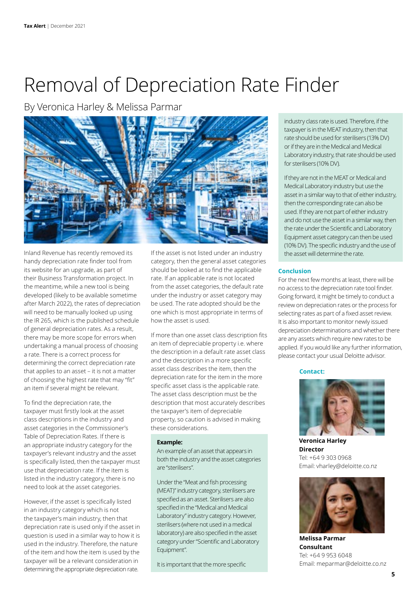### <span id="page-4-0"></span>Removal of Depreciation Rate Finder

By Veronica Harley & Melissa Parmar



Inland Revenue has recently removed its handy depreciation rate finder tool from its website for an upgrade, as part of their Business Transformation project. In the meantime, while a new tool is being developed (likely to be available sometime after March 2022), the rates of depreciation will need to be manually looked up using the IR 265, which is the published schedule of general depreciation rates. As a result, there may be more scope for errors when undertaking a manual process of choosing a rate. There is a correct process for determining the correct depreciation rate that applies to an asset – it is not a matter of choosing the highest rate that may "fit" an item if several might be relevant.

To find the depreciation rate, the taxpayer must firstly look at the asset class descriptions in the industry and asset categories in the Commissioner's Table of Depreciation Rates. If there is an appropriate industry category for the taxpayer's relevant industry and the asset is specifically listed, then the taxpayer must use that depreciation rate. If the item is listed in the industry category, there is no need to look at the asset categories.

However, if the asset is specifically listed in an industry category which is not the taxpayer's main industry, then that depreciation rate is used only if the asset in question is used in a similar way to how it is used in the industry. Therefore, the nature of the item and how the item is used by the taxpayer will be a relevant consideration in determining the appropriate depreciation rate.

If the asset is not listed under an industry category, then the general asset categories should be looked at to find the applicable rate. If an applicable rate is not located from the asset categories, the default rate under the industry or asset category may be used. The rate adopted should be the one which is most appropriate in terms of how the asset is used.

If more than one asset class description fits an item of depreciable property i.e. where the description in a default rate asset class and the description in a more specific asset class describes the item, then the depreciation rate for the item in the more specific asset class is the applicable rate. The asset class description must be the description that most accurately describes the taxpayer's item of depreciable property, so caution is advised in making these considerations.

#### **Example:**

An example of an asset that appears in both the industry and the asset categories are "sterilisers".

Under the "Meat and fish processing (MEAT)" industry category, sterilisers are specified as an asset. Sterilisers are also specified in the "Medical and Medical Laboratory" industry category. However, sterilisers (where not used in a medical laboratory) are also specified in the asset category under "Scientific and Laboratory Equipment".

It is important that the more specific

industry class rate is used. Therefore, if the taxpayer is in the MEAT industry, then that rate should be used for sterilisers (13% DV) or if they are in the Medical and Medical Laboratory industry, that rate should be used for sterilisers (10% DV).

If they are not in the MEAT or Medical and Medical Laboratory industry but use the asset in a similar way to that of either industry, then the corresponding rate can also be used. If they are not part of either industry and do not use the asset in a similar way, then the rate under the Scientific and Laboratory Equipment asset category can then be used (10% DV). The specific industry and the use of the asset will determine the rate.

#### **Conclusion**

For the next few months at least, there will be no access to the depreciation rate tool finder. Going forward, it might be timely to conduct a review on depreciation rates or the process for selecting rates as part of a fixed asset review. It is also important to monitor newly issued depreciation determinations and whether there are any assets which require new rates to be applied. If you would like any further information, please contact your usual Deloitte advisor.

#### **Contact:**



**Veronica Harley Director** Tel: +64 9 303 0968 Email: vharley@deloitte.co.nz



**Melissa Parmar Consultant** Tel: +64 9 953 6048 Email: meparmar@deloitte.co.nz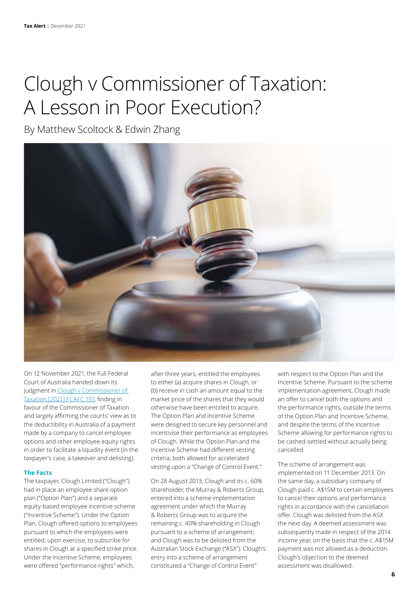### <span id="page-5-0"></span>Clough v Commissioner of Taxation: A Lesson in Poor Execution?

By Matthew Scoltock & Edwin Zhang



On 12 November 2021, the Full Federal Court of Australia handed down its judgment in [Clough v Commissioner of](https://www.judgments.fedcourt.gov.au/judgments/Judgments/fca/full/2021/2021fcafc0197)  [Taxation \[2021\] FCAFC 197](https://www.judgments.fedcourt.gov.au/judgments/Judgments/fca/full/2021/2021fcafc0197), finding in favour of the Commissioner of Taxation and largely affirming the courts' view as to the deductibility in Australia of a payment made by a company to cancel employee options and other employee equity rights in order to facilitate a liquidity event (in the taxpayer's case, a takeover and delisting).

#### **The Facts**

The taxpayer, Clough Limited ("Clough") had in place an employee share option plan ("Option Plan") and a separate equity-based employee incentive scheme ("Incentive Scheme"). Under the Option Plan, Clough offered options to employees pursuant to which the employees were entitled, upon exercise, to subscribe for shares in Clough at a specified strike price. Under the Incentive Scheme, employees were offered "performance rights" which,

after three years, entitled the employees to either (a) acquire shares in Clough, or (b) receive in cash an amount equal to the market price of the shares that they would otherwise have been entitled to acquire. The Option Plan and Incentive Scheme were designed to secure key personnel and incentivise their performance as employees of Clough. While the Option Plan and the Incentive Scheme had different vesting criteria, both allowed for accelerated vesting upon a "Change of Control Event."

On 28 August 2013, Clough and its c. 60% shareholder, the Murray & Roberts Group, entered into a scheme implementation agreement under which the Murray & Roberts Group was to acquire the remaining c. 40% shareholding in Clough pursuant to a scheme of arrangement; and Clough was to be delisted from the Australian Stock Exchange ("ASX"). Clough's entry into a scheme of arrangement constituted a "Change of Control Event"

with respect to the Option Plan and the Incentive Scheme. Pursuant to the scheme implementation agreement, Clough made an offer to cancel both the options and the performance rights, outside the terms of the Option Plan and Incentive Scheme, and despite the terms of the Incentive Scheme allowing for performance rights to be cashed-settled without actually being cancelled.

The scheme of arrangement was implemented on 11 December 2013. On the same day, a subsidiary company of Clough paid c. A\$15M to certain employees to cancel their options and performance rights in accordance with the cancellation offer. Clough was delisted from the ASX the next day. A deemed assessment was subsequently made in respect of the 2014 income year, on the basis that the c. A\$15M payment was not allowed as a deduction. Clough's objection to the deemed assessment was disallowed.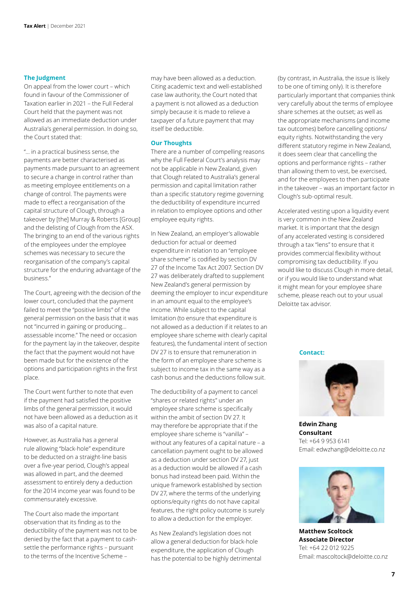#### **The Judgment**

On appeal from the lower court – which found in favour of the Commissioner of Taxation earlier in 2021 – the Full Federal Court held that the payment was not allowed as an immediate deduction under Australia's general permission. In doing so, the Court stated that:

"… in a practical business sense, the payments are better characterised as payments made pursuant to an agreement to secure a change in control rather than as meeting employee entitlements on a change of control. The payments were made to effect a reorganisation of the capital structure of Clough, through a takeover by [the] Murray & Roberts [Group] and the delisting of Clough from the ASX. The bringing to an end of the various rights of the employees under the employee schemes was necessary to secure the reorganisation of the company's capital structure for the enduring advantage of the business."

The Court, agreeing with the decision of the lower court, concluded that the payment failed to meet the "positive limbs" of the general permission on the basis that it was not "incurred in gaining or producing… assessable income." The need or occasion for the payment lay in the takeover, despite the fact that the payment would not have been made but for the existence of the options and participation rights in the first place.

The Court went further to note that even if the payment had satisfied the positive limbs of the general permission, it would not have been allowed as a deduction as it was also of a capital nature.

However, as Australia has a general rule allowing "black-hole" expenditure to be deducted on a straight-line basis over a five-year period, Clough's appeal was allowed in part, and the deemed assessment to entirely deny a deduction for the 2014 income year was found to be commensurately excessive.

The Court also made the important observation that its finding as to the deductibility of the payment was not to be denied by the fact that a payment to cashsettle the performance rights – pursuant to the terms of the Incentive Scheme –

may have been allowed as a deduction. Citing academic text and well-established case law authority, the Court noted that a payment is not allowed as a deduction simply because it is made to relieve a taxpayer of a future payment that may itself be deductible.

#### **Our Thoughts**

There are a number of compelling reasons why the Full Federal Court's analysis may not be applicable in New Zealand, given that Clough related to Australia's general permission and capital limitation rather than a specific statutory regime governing the deductibility of expenditure incurred in relation to employee options and other employee equity rights.

In New Zealand, an employer's allowable deduction for actual or deemed expenditure in relation to an "employee share scheme" is codified by section DV 27 of the Income Tax Act 2007. Section DV 27 was deliberately drafted to supplement New Zealand's general permission by deeming the employer to incur expenditure in an amount equal to the employee's income. While subject to the capital limitation (to ensure that expenditure is not allowed as a deduction if it relates to an employee share scheme with clearly capital features), the fundamental intent of section DV 27 is to ensure that remuneration in the form of an employee share scheme is subject to income tax in the same way as a cash bonus and the deductions follow suit.

The deductibility of a payment to cancel "shares or related rights" under an employee share scheme is specifically within the ambit of section DV 27. It may therefore be appropriate that if the employee share scheme is "vanilla" – without any features of a capital nature – a cancellation payment ought to be allowed as a deduction under section DV 27, just as a deduction would be allowed if a cash bonus had instead been paid. Within the unique framework established by section DV 27, where the terms of the underlying options/equity rights do not have capital features, the right policy outcome is surely to allow a deduction for the employer.

As New Zealand's legislation does not allow a general deduction for black-hole expenditure, the application of Clough has the potential to be highly detrimental (by contrast, in Australia, the issue is likely to be one of timing only). It is therefore particularly important that companies think very carefully about the terms of employee share schemes at the outset; as well as the appropriate mechanisms (and income tax outcomes) before cancelling options/ equity rights. Notwithstanding the very different statutory regime in New Zealand, it does seem clear that cancelling the options and performance rights – rather than allowing them to vest, be exercised, and for the employees to then participate in the takeover – was an important factor in Clough's sub-optimal result.

Accelerated vesting upon a liquidity event is very common in the New Zealand market. It is important that the design of any accelerated vesting is considered through a tax "lens" to ensure that it provides commercial flexibility without compromising tax deductibility. If you would like to discuss Clough in more detail, or if you would like to understand what it might mean for your employee share scheme, please reach out to your usual Deloitte tax advisor.

**Contact:**



**Edwin Zhang Consultant** Tel: +64 9 953 6141 Email: edwzhang@deloitte.co.nz



**Matthew Scoltock Associate Director** Tel: +64 22 012 9225 Email: mascoltock@deloitte.co.nz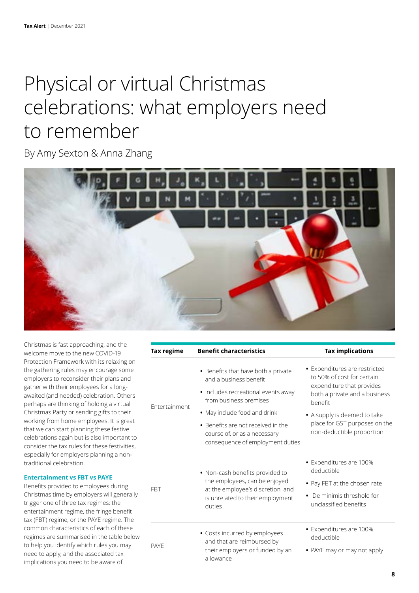### <span id="page-7-0"></span>Physical or virtual Christmas celebrations: what employers need to remember

By Amy Sexton & Anna Zhang



Christmas is fast approaching, and the welcome move to the new COVID-19 Protection Framework with its relaxing on the gathering rules may encourage some employers to reconsider their plans and gather with their employees for a longawaited (and needed) celebration. Others perhaps are thinking of holding a virtual Christmas Party or sending gifts to their working from home employees. It is great that we can start planning these festive celebrations again but is also important to consider the tax rules for these festivities, especially for employers planning a nontraditional celebration.

#### **Entertainment vs FBT vs PAYE**

Benefits provided to employees during Christmas time by employers will generally trigger one of three tax regimes: the entertainment regime, the fringe benefit tax (FBT) regime, or the PAYE regime. The common characteristics of each of these regimes are summarised in the table below to help you identify which rules you may need to apply, and the associated tax implications you need to be aware of.

| Tax regime    | <b>Benefit characteristics</b>                                                                                                                     | <b>Tax implications</b>                                                                                                              |
|---------------|----------------------------------------------------------------------------------------------------------------------------------------------------|--------------------------------------------------------------------------------------------------------------------------------------|
| Entertainment | • Benefits that have both a private<br>and a business benefit<br>· Includes recreational events away<br>from business premises                     | • Expenditures are restricted<br>to 50% of cost for certain<br>expenditure that provides<br>both a private and a business<br>benefit |
|               | • May include food and drink<br>• Benefits are not received in the<br>course of, or as a necessary<br>consequence of employment duties             | • A supply is deemed to take<br>place for GST purposes on the<br>non-deductible proportion                                           |
| <b>FBT</b>    | • Non-cash benefits provided to<br>the employees, can be enjoyed<br>at the employee's discretion and<br>is unrelated to their employment<br>duties | • Expenditures are 100%<br>deductible<br>• Pay FBT at the chosen rate<br>De minimis threshold for<br>unclassified benefits           |
| <b>PAYE</b>   | • Costs incurred by employees<br>and that are reimbursed by<br>their employers or funded by an<br>allowance                                        | • Expenditures are 100%<br>deductible<br>• PAYE may or may not apply                                                                 |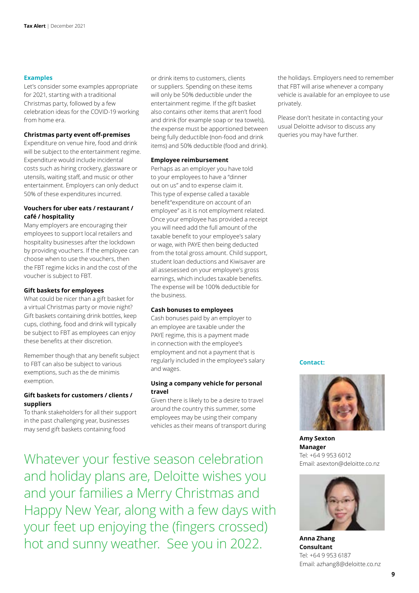#### **Examples**

Let's consider some examples appropriate for 2021, starting with a traditional Christmas party, followed by a few celebration ideas for the COVID-19 working from home era.

#### **Christmas party event off-premises**

Expenditure on venue hire, food and drink will be subject to the entertainment regime. Expenditure would include incidental costs such as hiring crockery, glassware or utensils, waiting staff, and music or other entertainment. Employers can only deduct 50% of these expenditures incurred.

#### **Vouchers for uber eats / restaurant / café / hospitality**

Many employers are encouraging their employees to support local retailers and hospitality businesses after the lockdown by providing vouchers. If the employee can choose when to use the vouchers, then the FBT regime kicks in and the cost of the voucher is subject to FBT.

#### **Gift baskets for employees**

What could be nicer than a gift basket for a virtual Christmas party or movie night? Gift baskets containing drink bottles, keep cups, clothing, food and drink will typically be subject to FBT as employees can enjoy these benefits at their discretion.

Remember though that any benefit subject to FBT can also be subject to various exemptions, such as the de minimis exemption.

#### **Gift baskets for customers / clients / suppliers**

To thank stakeholders for all their support in the past challenging year, businesses may send gift baskets containing food

or drink items to customers, clients or suppliers. Spending on these items will only be 50% deductible under the entertainment regime. If the gift basket also contains other items that aren't food and drink (for example soap or tea towels), the expense must be apportioned between being fully deductible (non-food and drink items) and 50% deductible (food and drink).

#### **Employee reimbursement**

Perhaps as an employer you have told to your employees to have a "dinner out on us" and to expense claim it. This type of expense called a taxable benefit"expenditure on account of an employee" as it is not employment related. Once your employee has provided a receipt you will need add the full amount of the taxable benefit to your employee's salary or wage, with PAYE then being deducted from the total gross amount. Child support, student loan deductions and Kiwisaver are all assesessed on your employee's gross earnings, which includes taxable benefits. The expense will be 100% deductible for the business.

#### **Cash bonuses to employees**

Cash bonuses paid by an employer to an employee are taxable under the PAYE regime, this is a payment made in connection with the employee's employment and not a payment that is regularly included in the employee's salary and wages.

#### **Using a company vehicle for personal travel**

Given there is likely to be a desire to travel around the country this summer, some employees may be using their company vehicles as their means of transport during

Whatever your festive season celebration and holiday plans are, Deloitte wishes you and your families a Merry Christmas and Happy New Year, along with a few days with your feet up enjoying the (fingers crossed) hot and sunny weather. See you in 2022.

the holidays. Employers need to remember that FBT will arise whenever a company vehicle is available for an employee to use privately.

Please don't hesitate in contacting your usual Deloitte advisor to discuss any queries you may have further.

#### **Contact:**



**Amy Sexton Manager** Tel: +64 9 953 6012 Email: asexton@deloitte.co.nz



**Anna Zhang Consultant** Tel: +64 9 953 6187 Email: azhang8@deloitte.co.nz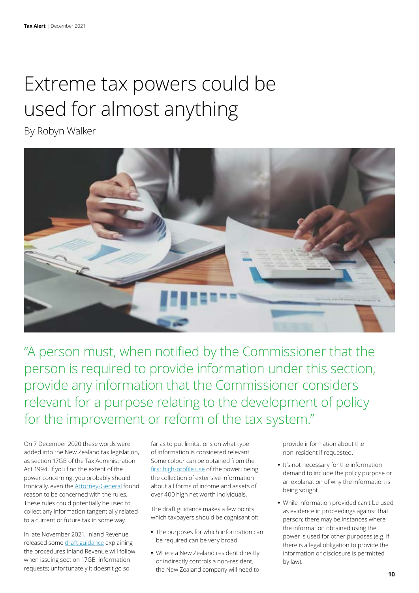### <span id="page-9-0"></span>Extreme tax powers could be used for almost anything

By Robyn Walker



"A person must, when notified by the Commissioner that the person is required to provide information under this section, provide any information that the Commissioner considers relevant for a purpose relating to the development of policy for the improvement or reform of the tax system."

On 7 December 2020 these words were added into the New Zealand tax legislation, as section 17GB of the Tax Administration Act 1994. If you find the extent of the power concerning, you probably should. Ironically, even the [Attorney-General](https://www.justice.govt.nz/assets/Documents/Publications/2020-12-02-Section-7-Report-Taxation-Income-Tax-Rate-and-Other-Amendme2....pdf) found reason to be concerned with the rules. These rules could potentially be used to collect any information tangentially related to a current or future tax in some way.

In late November 2021, Inland Revenue released some [draft guidance](https://www.taxtechnical.ird.govt.nz/consultations/draft-items/ed0237) explaining the procedures Inland Revenue will follow when issuing section 17GB information requests; unfortunately it doesn't go so

far as to put limitations on what type of information is considered relevant. Some colour can be obtained from the [first high-profile use](https://www2.deloitte.com/nz/en/pages/tax-alerts/articles/inland-revenue-effective-tax-rate-project-is-about-to-start.html) of the power; being the collection of extensive information about all forms of income and assets of over 400 high net worth individuals.

The draft guidance makes a few points which taxpayers should be cognisant of:

- **•** The purposes for which information can be required can be very broad.
- **•** Where a New Zealand resident directly or indirectly controls a non-resident, the New Zealand company will need to

provide information about the non-resident if requested.

- **•** It's not necessary for the information demand to include the policy purpose or an explanation of why the information is being sought.
- **•** While information provided can't be used as evidence in proceedings against that person; there may be instances where the information obtained using the power is used for other purposes (e.g. if there is a legal obligation to provide the information or disclosure is permitted by law).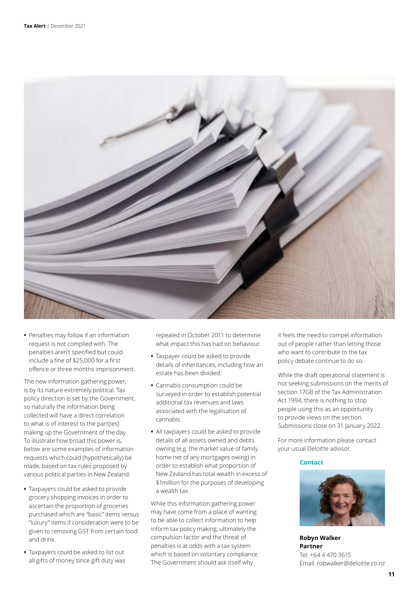

**•** Penalties may follow if an information request is not complied with. The penalties aren't specified but could include a fine of \$25,000 for a first offence or three months imprisonment.

The new information gathering power, is by its nature extremely political. Tax policy direction is set by the Government, so naturally the information being collected will have a direct correlation to what is of interest to the part(ies) making up the Government of the day. To illustrate how broad this power is, below are some examples of information requests which could (hypothetically) be made, based on tax rules proposed by various political parties in New Zealand:

- **•** Taxpayers could be asked to provide grocery shopping invoices in order to ascertain the proportion of groceries purchased which are "basic" items versus "luxury" items if consideration were to be given to removing GST from certain food and drink.
- **•** Taxpayers could be asked to list out all gifts of money since gift duty was

repealed in October 2011 to determine what impact this has had on behaviour.

- **•** Taxpayer could be asked to provide details of inheritances; including how an estate has been divided.
- **•** Cannabis consumption could be surveyed in order to establish potential additional tax revenues and laws associated with the legalisation of cannabis.
- **•** All taxpayers could be asked to provide details of all assets owned and debts owning (e.g. the market value of family home net of any mortgages owing) in order to establish what proportion of New Zealand has total wealth in excess of \$1million for the purposes of developing a wealth tax.

While this information gathering power may have come from a place of wanting to be able to collect information to help inform tax policy making, ultimately the compulsion factor and the threat of penalties is at odds with a tax system which is based on voluntary compliance. The Government should ask itself why

it feels the need to compel information out of people rather than letting those who want to contribute to the tax policy debate continue to do so.

While the draft operational statement is not seeking submissions on the merits of section 17GB of the Tax Administration Act 1994, there is nothing to stop people using this as an opportunity to provide views on the section. Submissions close on 31 January 2022.

For more information please contact your usual Deloitte advisor.

#### **Contact**



**Robyn Walker Partner** Tel: +64 4 470 3615 Email: robwalker@deloitte.co.nz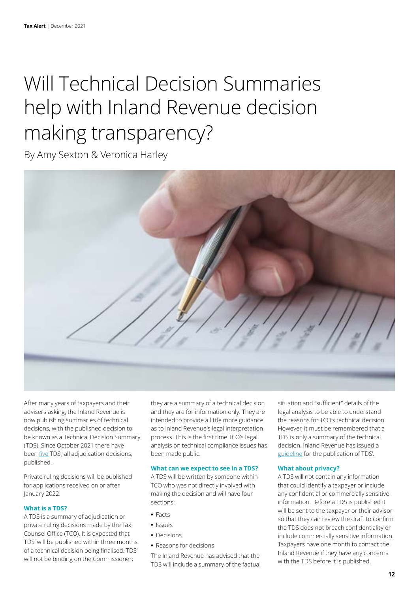### <span id="page-11-0"></span>Will Technical Decision Summaries help with Inland Revenue decision making transparency?

By Amy Sexton & Veronica Harley



After many years of taxpayers and their advisers asking, the Inland Revenue is now publishing summaries of technical decisions, with the published decision to be known as a Technical Decision Summary (TDS). Since October 2021 there have been [five](https://www.taxtechnical.ird.govt.nz/publications#sort=%40irscttissuedatetime%20descending&numberOfResults=25&f:@irscttpublicationtypes=[Technical%20decision%20summary]) TDS', all adjudication decisions, published.

Private ruling decisions will be published for applications received on or after January 2022.

#### **What is a TDS?**

A TDS is a summary of adjudication or private ruling decisions made by the Tax Counsel Office (TCO). It is expected that TDS' will be published within three months of a technical decision being finalised. TDS' will not be binding on the Commissioner;

they are a summary of a technical decision and they are for information only. They are intended to provide a little more guidance as to Inland Revenue's legal interpretation process. This is the first time TCO's legal analysis on technical compliance issues has been made public.

#### **What can we expect to see in a TDS?**

A TDS will be written by someone within TCO who was not directly involved with making the decision and will have four sections:

- **•** Facts
- **•** Issues
- **•** Decisions
- **•** Reasons for decisions

The Inland Revenue has advised that the TDS will include a summary of the factual situation and "sufficient" details of the legal analysis to be able to understand the reasons for TCO's technical decision. However, it must be remembered that a TDS is only a summary of the technical decision. Inland Revenue has issued a [guideline](https://www.taxtechnical.ird.govt.nz/-/media/project/ir/tt/pdfs/tds/tds-guidelines.pdf?modified=20210920201107&modified=20210920201107) for the publication of TDS'.

#### **What about privacy?**

A TDS will not contain any information that could identify a taxpayer or include any confidential or commercially sensitive information. Before a TDS is published it will be sent to the taxpayer or their advisor so that they can review the draft to confirm the TDS does not breach confidentiality or include commercially sensitive information. Taxpayers have one month to contact the Inland Revenue if they have any concerns with the TDS before it is published.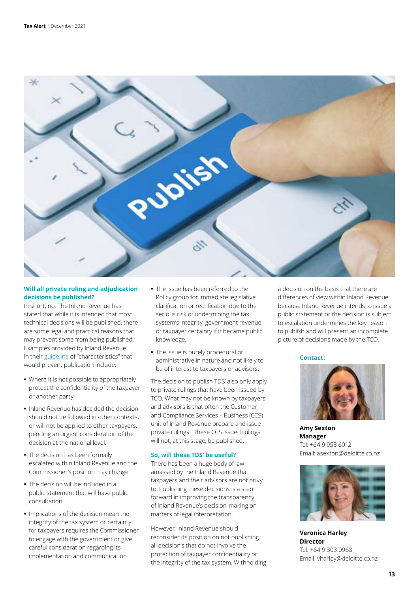

#### **Will all private ruling and adjudication decisions be published?**

In short, no. The Inland Revenue has stated that while it is intended that most technical decisions will be published, there are some legal and practical reasons that may prevent some from being published. Examples provided by Inland Revenue in their [guideline](https://www.taxtechnical.ird.govt.nz/-/media/project/ir/tt/pdfs/tds/tds-guidelines.pdf?modified=20210920201107&modified=20210920201107) of "characteristics" that would prevent publication include:

- **•** Where it is not possible to appropriately protect the confidentiality of the taxpayer or another party.
- **•** Inland Revenue has decided the decision should not be followed in other contexts, or will not be applied to other taxpayers, pending an urgent consideration of the decision at the national level.
- **•** The decision has been formally escalated within Inland Revenue and the Commissioner's position may change.
- **•** The decision will be included in a public statement that will have public consultation.
- **•** Implications of the decision mean the integrity of the tax system or certainty for taxpayers requires the Commissioner to engage with the government or give careful consideration regarding its implementation and communication.
- **•** The issue has been referred to the Policy group for immediate legislative clarification or rectification due to the serious risk of undermining the tax system's integrity, government revenue or taxpayer certainty if it became public knowledge.
- **•** The issue is purely procedural or administrative in nature and not likely to be of interest to taxpayers or advisors.

The decision to publish TDS' also only apply to private rulings that have been issued by TCO. What may not be known by taxpayers and advisors is that often the Customer and Compliance Services – Business (CCS) unit of Inland Revenue prepare and issue private rulings. These CCS issued rulings will not, at this stage, be published.

#### **So, will these TDS' be useful?**

There has been a huge body of law amassed by the Inland Revenue that taxpayers and their advisors are not privy to. Publishing these decisions is a step forward in improving the transparency of Inland Revenue's decision-making on matters of legal interpretation.

However, Inland Revenue should reconsider its position on not publishing all decision's that do not involve the protection of taxpayer confidentiality or the integrity of the tax system. Withholding a decision on the basis that there are differences of view within Inland Revenue because Inland Revenue intends to issue a public statement or the decision is subject to escalation undermines the key reason to publish and will present an incomplete picture of decisions made by the TCO.

**Contact:**



**Amy Sexton Manager** Tel: +64 9 953 6012 Email: asexton@deloitte.co.nz



**Veronica Harley Director** Tel: +64 9 303 0968 Email: vharley@deloitte.co.nz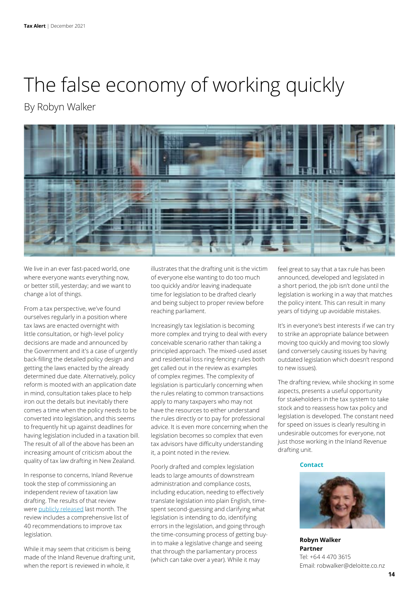# <span id="page-13-0"></span>The false economy of working quickly

### By Robyn Walker



We live in an ever fast-paced world, one where everyone wants everything now, or better still, yesterday; and we want to change a lot of things.

From a tax perspective, we've found ourselves regularly in a position where tax laws are enacted overnight with little consultation, or high-level policy decisions are made and announced by the Government and it's a case of urgently back-filling the detailed policy design and getting the laws enacted by the already determined due date. Alternatively, policy reform is mooted with an application date in mind, consultation takes place to help iron out the details but inevitably there comes a time when the policy needs to be converted into legislation, and this seems to frequently hit up against deadlines for having legislation included in a taxation bill. The result of all of the above has been an increasing amount of criticism about the quality of tax law drafting in New Zealand.

In response to concerns, Inland Revenue took the step of commissioning an independent review of taxation law drafting. The results of that review were [publicly released](https://www.ird.govt.nz/-/media/project/ir/home/documents/about-us/publications/reviews-surveys-and-other/taxation-law-drafting-review---report-and-recommendations/taxation-law-drafting-review-and-recommendations.pdf?modified=20211111220549&modified=20211111220549) last month. The review includes a comprehensive list of 40 recommendations to improve tax legislation.

While it may seem that criticism is being made of the Inland Revenue drafting unit, when the report is reviewed in whole, it

illustrates that the drafting unit is the victim of everyone else wanting to do too much too quickly and/or leaving inadequate time for legislation to be drafted clearly and being subject to proper review before reaching parliament.

Increasingly tax legislation is becoming more complex and trying to deal with every conceivable scenario rather than taking a principled approach. The mixed-used asset and residential loss ring-fencing rules both get called out in the review as examples of complex regimes. The complexity of legislation is particularly concerning when the rules relating to common transactions apply to many taxpayers who may not have the resources to either understand the rules directly or to pay for professional advice. It is even more concerning when the legislation becomes so complex that even tax advisors have difficulty understanding it, a point noted in the review.

Poorly drafted and complex legislation leads to large amounts of downstream administration and compliance costs, including education, needing to effectively translate legislation into plain English, timespent second-guessing and clarifying what legislation is intending to do, identifying errors in the legislation, and going through the time-consuming process of getting buyin to make a legislative change and seeing that through the parliamentary process (which can take over a year). While it may

feel great to say that a tax rule has been announced, developed and legislated in a short period, the job isn't done until the legislation is working in a way that matches the policy intent. This can result in many years of tidying up avoidable mistakes.

It's in everyone's best interests if we can try to strike an appropriate balance between moving too quickly and moving too slowly (and conversely causing issues by having outdated legislation which doesn't respond to new issues).

The drafting review, while shocking in some aspects, presents a useful opportunity for stakeholders in the tax system to take stock and to reassess how tax policy and legislation is developed. The constant need for speed on issues is clearly resulting in undesirable outcomes for everyone, not just those working in the Inland Revenue drafting unit.

#### **Contact**



**Robyn Walker Partner** Tel: +64 4 470 3615 Email: robwalker@deloitte.co.nz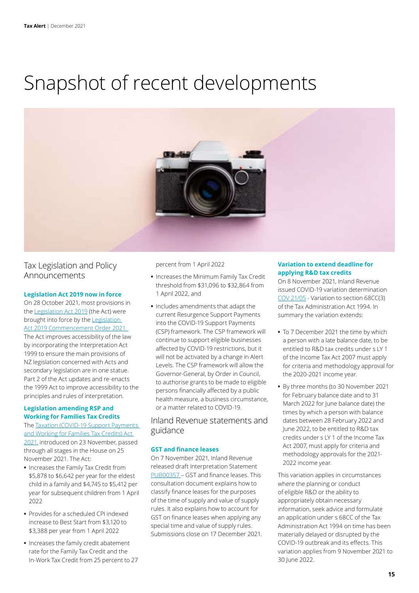### <span id="page-14-0"></span>Snapshot of recent developments



### Tax Legislation and Policy Announcements

#### **Legislation Act 2019 now in force**

On 28 October 2021, most provisions in the [Legislation Act 2019](https://www.legislation.govt.nz/act/public/2019/0058/latest/DLM7298125.html) (the Act) were brought into force by the [Legislation](https://www.legislation.govt.nz/regulation/public/2021/0249/latest/LMS539250.html#LMS539253)  [Act 2019 Commencement Order 2021.](https://www.legislation.govt.nz/regulation/public/2021/0249/latest/LMS539250.html#LMS539253)  The Act improves accessibility of the law by incorporating the Interpretation Act 1999 to ensure the main provisions of NZ legislation concerned with Acts and secondary legislation are in one statue. Part 2 of the Act updates and re-enacts the 1999 Act to improve accessibility to the principles and rules of interpretation.

#### **Legislation amending RSP and Working for Families Tax Credits**

The [Taxation \(COVID-19 Support Payments](https://www.legislation.govt.nz/act/public/2021/0052/latest/LMS602673.html)  [and Working for Families Tax Credits\) Act](https://www.legislation.govt.nz/act/public/2021/0052/latest/LMS602673.html)  [2021,](https://www.legislation.govt.nz/act/public/2021/0052/latest/LMS602673.html) introduced on 23 November, passed through all stages in the House on 25 November 2021. The Act:

- **•** Increases the Family Tax Credit from \$5,878 to \$6,642 per year for the eldest child in a family and \$4,745 to \$5,412 per year for subsequent children from 1 April 2022
- **•** Provides for a scheduled CPI indexed increase to Best Start from \$3,120 to \$3,388 per year from 1 April 2022
- **•** Increases the family credit abatement rate for the Family Tax Credit and the In-Work Tax Credit from 25 percent to 27

percent from 1 April 2022

- **•** Increases the Minimum Family Tax Credit threshold from \$31,096 to \$32,864 from 1 April 2022, and
- **•** Includes amendments that adapt the current Resurgence Support Payments into the COVID-19 Support Payments (CSP) framework. The CSP framework will continue to support eligible businesses affected by COVID-19 restrictions, but it will not be activated by a change in Alert Levels. The CSP framework will allow the Governor-General, by Order in Council, to authorise grants to be made to eligible persons financially affected by a public health measure, a business circumstance, or a matter related to COVID-19.

#### Inland Revenue statements and guidance

#### **GST and finance leases**

On 7 November 2021, Inland Revenue released draft Interpretation Statement [PUB00357](https://www.taxtechnical.ird.govt.nz/-/media/project/ir/tt/pdfs/consultations/current-consultations/pub00357.pdf?modified=20211107204452&modified=20211107204452) – GST and finance leases. This consultation document explains how to classify finance leases for the purposes of the time of supply and value of supply rules. It also explains how to account for GST on finance leases when applying any special time and value of supply rules. Submissions close on 17 December 2021.

#### **Variation to extend deadline for applying R&D tax credits**

On 8 November 2021, Inland Revenue issued COVID-19 variation determination [COV 21/05](https://www.taxtechnical.ird.govt.nz/-/media/project/ir/tt/pdfs/determinations/covid-19-variation/cov-21-05.pdf?modified=20211109191445) - Variation to section 68CC(3) of the Tax Administration Act 1994. In summary the variation extends:

- **•** To 7 December 2021 the time by which a person with a late balance date, to be entitled to R&D tax credits under s LY 1 of the Income Tax Act 2007 must apply for criteria and methodology approval for the 2020-2021 income year.
- **•** By three months (to 30 November 2021 for February balance date and to 31 March 2022 for June balance date) the times by which a person with balance dates between 28 February 2022 and June 2022, to be entitled to R&D tax credits under s LY 1 of the Income Tax Act 2007, must apply for criteria and methodology approvals for the 2021- 2022 income year.

This variation applies in circumstances where the planning or conduct of eligible R&D or the ability to appropriately obtain necessary information, seek advice and formulate an application under s 68CC of the Tax Administration Act 1994 on time has been materially delayed or disrupted by the COVID-19 outbreak and its effects. This variation applies from 9 November 2021 to 30 June 2022.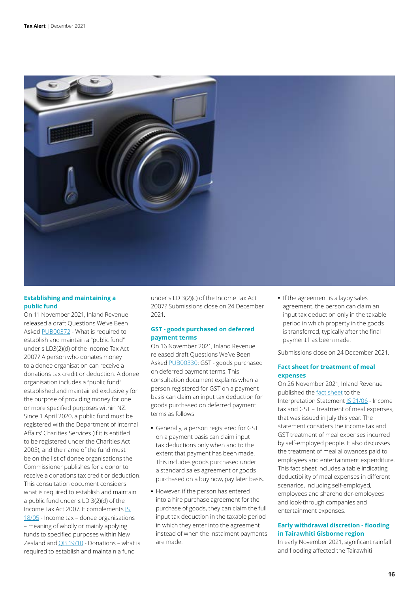

#### **Establishing and maintaining a public fund**

On 11 November 2021, Inland Revenue released a draft Questions We've Been Asked [PUB00372](https://www.taxtechnical.ird.govt.nz/consultations/draft-items/pub00372) - What is required to establish and maintain a "public fund" under s LD3(2)(d) of the Income Tax Act 2007? A person who donates money to a donee organisation can receive a donations tax credit or deduction. A donee organisation includes a "public fund" established and maintained exclusively for the purpose of providing money for one or more specified purposes within NZ. Since 1 April 2020, a public fund must be registered with the Department of Internal Affairs' Charities Services (if it is entitled to be registered under the Charities Act 2005), and the name of the fund must be on the list of donee organisations the Commissioner publishes for a donor to receive a donations tax credit or deduction. This consultation document considers what is required to establish and maintain a public fund under s LD 3(2)(d) of the Income Tax Act 2007. It complements IS [18/05](https://www.taxtechnical.ird.govt.nz/interpretation-statements/is-1805-income-tax-donee-organisations-meaning-of-wholly-or-mainly-applying-funds-to-specified-purpo) - Income tax – donee organisations – meaning of wholly or mainly applying funds to specified purposes within New Zealand and [QB 19/10](https://www.taxtechnical.ird.govt.nz/questions-we-ve-been-asked/2019/qb-1910-donations-what-is-required-to-establish-and-maintain-a-fund-under-s-ld-3-2-c-of-the-income-t) - Donations - what is required to establish and maintain a fund

under s LD 3(2)(c) of the Income Tax Act 2007? Submissions close on 24 December 2021.

#### **GST - goods purchased on deferred payment terms**

On 16 November 2021, Inland Revenue released draft Questions We've Been Asked [PUB00330:](https://www.taxtechnical.ird.govt.nz/-/media/project/ir/tt/pdfs/consultations/current-consultations/pub00330.pdf?modified=20211116011342&modified=20211116011342) GST - goods purchased on deferred payment terms. This consultation document explains when a person registered for GST on a payment basis can claim an input tax deduction for goods purchased on deferred payment terms as follows:

- **•** Generally, a person registered for GST on a payment basis can claim input tax deductions only when and to the extent that payment has been made. This includes goods purchased under a standard sales agreement or goods purchased on a buy now, pay later basis.
- **•** However, if the person has entered into a hire purchase agreement for the purchase of goods, they can claim the full input tax deduction in the taxable period in which they enter into the agreement instead of when the instalment payments are made.

**•** If the agreement is a layby sales agreement, the person can claim an input tax deduction only in the taxable period in which property in the goods is transferred, typically after the final payment has been made.

Submissions close on 24 December 2021.

#### **Fact sheet for treatment of meal expenses**

On 26 November 2021, Inland Revenue published the [fact sheet](https://www.taxtechnical.ird.govt.nz/-/media/project/ir/tt/pdfs/fact-sheets/2021/is-21-06-fs-1.pdf?modified=20211125204653) to the Interpretation Statement [IS 21/06](https://www.taxtechnical.ird.govt.nz/-/media/project/ir/tt/pdfs/interpretation-statements/2021/is-21-06_2.pdf?modified=20210714005522) - Income tax and GST – Treatment of meal expenses, that was issued in July this year. The statement considers the income tax and GST treatment of meal expenses incurred by self-employed people. It also discusses the treatment of meal allowances paid to employees and entertainment expenditure. This fact sheet includes a table indicating deductibility of meal expenses in different scenarios, including self-employed, employees and shareholder-employees and look-through companies and entertainment expenses.

#### **Early withdrawal discretion - flooding in Tairawhiti Gisborne region**

In early November 2021, significant rainfall and flooding affected the Tairawhiti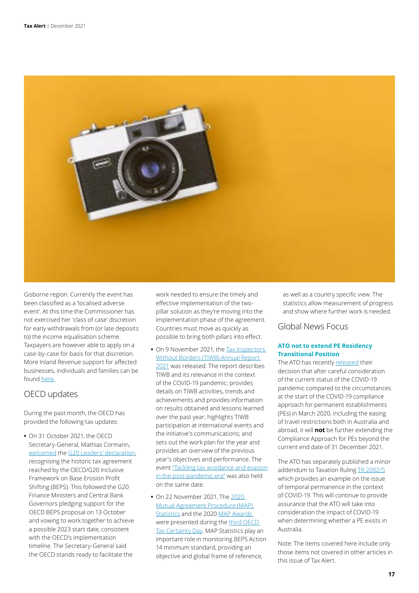

Gisborne region. Currently the event has been classified as a 'localised adverse event'. At this time the Commissioner has not exercised her 'class of case' discretion for early withdrawals from (or late deposits to) the income equalisation scheme. Taxpayers are however able to apply on a case-by-case for basis for that discretion. More Inland Revenue support for affected businesses, individuals and families can be found [here.](https://www.ird.govt.nz/updates/news-folder/flooding-in-tairawhiti-gisborne-declared-a-localised-adverse-event)

#### OECD updates

During the past month, the OECD has provided the following tax updates:

**•** On 31 October 2021, the OECD Secretary-General, Mathias Cormann, [welcomed](https://www.oecd.org/tax/oecd-secretary-general-mathias-cormann-welcomes-outcome-of-the-g20-leaders-summit.htm) the [G20 Leaders' declaration](https://g20.org/wp-content/uploads/2021/10/G20-ROME-LEADERS-DECLARATION.pdf/), recognising the historic tax agreement reached by the OECD/G20 Inclusive Framework on Base Erosion Profit Shifting (BEPS). This followed the G20 Finance Ministers and Central Bank Governors pledging support for the OECD BEPS proposal on 13 October and vowing to work together to achieve a possible 2023 start date, consistent with the OECD's implementation timeline. The Secretary-General said the OECD stands ready to facilitate the

work needed to ensure the timely and effective implementation of the twopillar solution as they're moving into the implementation phase of the agreement. Countries must move as quickly as possible to bring both pillars into effect.

- On 9 November 2021, the Tax Inspectors [Without Borders \(TIWB\) Annual Report](http://tiwb.org/resources/reports-case-studies/tax-inspectors-without-borders-annual-report-2021.pdf)  [2021](http://tiwb.org/resources/reports-case-studies/tax-inspectors-without-borders-annual-report-2021.pdf) was released. The report describes TIWB and its relevance in the context of the COVID-19 pandemic; provides details on TIWB activities, trends and achievements and provides information on results obtained and lessons learned over the past year; highlights TIWB participation at international events and the initiative's communications; and sets out the work plan for the year and provides an overview of the previous year's objectives and performance. The event ["Tackling tax avoidance and evasion](http://www.tiwb.org/resources/events/tiwb-tackling-tax-avoidance-and-evasion-in-the-post-pandemic-era-november-2021.htm)  [in the post-pandemic era"](http://www.tiwb.org/resources/events/tiwb-tackling-tax-avoidance-and-evasion-in-the-post-pandemic-era-november-2021.htm) was also held on the same date.
- **•** On 22 November 2021, The [2020](https://www.oecd.org/ctp/dispute/mutual-agreement-procedure-statistics.htm)  [Mutual Agreement Procedure \(MAP\)](https://www.oecd.org/ctp/dispute/mutual-agreement-procedure-statistics.htm)  [Statistics](https://www.oecd.org/ctp/dispute/mutual-agreement-procedure-statistics.htm) and the 2020 [MAP Awards](https://www.oecd.org/tax/dispute/mutual-agreement-procedure-awards.htm)  were presented during the [third OECD](https://www.oecd.org/tax/administration/oecd-tax-certainty-day.htm)  [Tax Certainty Day.](https://www.oecd.org/tax/administration/oecd-tax-certainty-day.htm) MAP Statistics play an important role in monitoring BEPS Action 14 minimum standard, providing an objective and global frame of reference,

as well as a country specific view. The statistics allow measurement of progress and show where further work is needed.

#### Global News Focus

#### **ATO not to extend PE Residency Transitional Position**

The ATO has recently [released](https://www.ato.gov.au/Business/International-tax-for-business/Working-out-your-residency/) their decision that after careful consideration of the current status of the COVID-19 pandemic compared to the circumstances at the start of the COVID-19 compliance approach for permanent establishments (PEs) in March 2020, including the easing of travel restrictions both in Australia and abroad, it will **not** be further extending the Compliance Approach for PEs beyond the current end date of 31 December 2021.

The ATO has separately published a minor addendum to Taxation Ruling [TR 2002/5](https://www.ato.gov.au/law/view/document?docid=TXR/TR20025/NAT/ATO/00001&PiT=20210512000001) which provides an example on the issue of temporal permanence in the context of COVID-19. This will continue to provide assurance that the ATO will take into consideration the impact of COVID-19 when determining whether a PE exists in Australia.

Note: The items covered here include only those items not covered in other articles in this issue of Tax Alert.